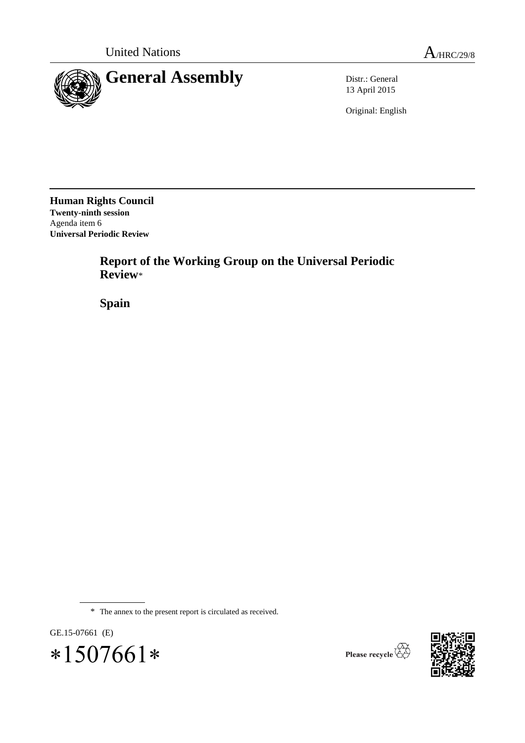

13 April 2015

Original: English

**Human Rights Council Twenty-ninth session** Agenda item 6 **Universal Periodic Review**

> **Report of the Working Group on the Universal Periodic Review**\*

**Spain**

\* The annex to the present report is circulated as received.





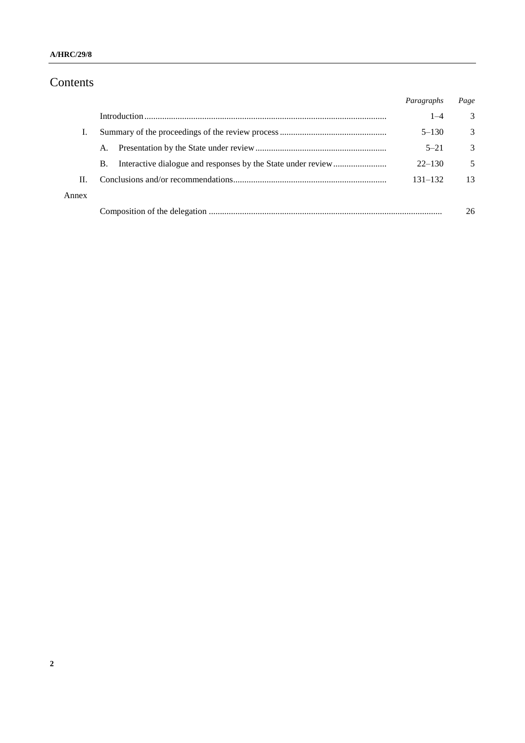# Contents

|       |           | Paragraphs  | Page |
|-------|-----------|-------------|------|
|       |           | $1 - 4$     | 3    |
|       |           | $5 - 130$   | 3    |
|       | A.        | $5 - 21$    | 3    |
|       | <b>B.</b> | $22 - 130$  | 5    |
| Н.    |           | $131 - 132$ | 13   |
| Annex |           |             |      |
|       |           |             | 26   |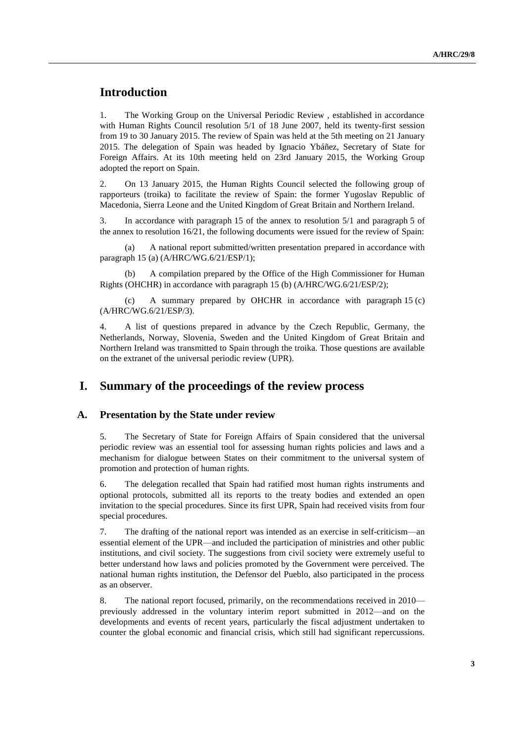## **Introduction**

1. The Working Group on the Universal Periodic Review , established in accordance with Human Rights Council resolution 5/1 of 18 June 2007, held its twenty-first session from 19 to 30 January 2015. The review of Spain was held at the 5th meeting on 21 January 2015. The delegation of Spain was headed by Ignacio Ybáñez, Secretary of State for Foreign Affairs. At its 10th meeting held on 23rd January 2015, the Working Group adopted the report on Spain.

2. On 13 January 2015, the Human Rights Council selected the following group of rapporteurs (troika) to facilitate the review of Spain: the former Yugoslav Republic of Macedonia, Sierra Leone and the United Kingdom of Great Britain and Northern Ireland.

3. In accordance with paragraph 15 of the annex to resolution 5/1 and paragraph 5 of the annex to resolution 16/21, the following documents were issued for the review of Spain:

(a) A national report submitted/written presentation prepared in accordance with paragraph 15 (a) (A/HRC/WG.6/21/ESP/1);

(b) A compilation prepared by the Office of the High Commissioner for Human Rights (OHCHR) in accordance with paragraph 15 (b) (A/HRC/WG.6/21/ESP/2);

(c) A summary prepared by OHCHR in accordance with paragraph 15 (c) (A/HRC/WG.6/21/ESP/3).

4. A list of questions prepared in advance by the Czech Republic, Germany, the Netherlands, Norway, Slovenia, Sweden and the United Kingdom of Great Britain and Northern Ireland was transmitted to Spain through the troika. Those questions are available on the extranet of the universal periodic review (UPR).

## **I. Summary of the proceedings of the review process**

#### **A. Presentation by the State under review**

5. The Secretary of State for Foreign Affairs of Spain considered that the universal periodic review was an essential tool for assessing human rights policies and laws and a mechanism for dialogue between States on their commitment to the universal system of promotion and protection of human rights.

6. The delegation recalled that Spain had ratified most human rights instruments and optional protocols, submitted all its reports to the treaty bodies and extended an open invitation to the special procedures. Since its first UPR, Spain had received visits from four special procedures.

7. The drafting of the national report was intended as an exercise in self-criticism—an essential element of the UPR—and included the participation of ministries and other public institutions, and civil society. The suggestions from civil society were extremely useful to better understand how laws and policies promoted by the Government were perceived. The national human rights institution, the Defensor del Pueblo, also participated in the process as an observer.

8. The national report focused, primarily, on the recommendations received in 2010 previously addressed in the voluntary interim report submitted in 2012—and on the developments and events of recent years, particularly the fiscal adjustment undertaken to counter the global economic and financial crisis, which still had significant repercussions.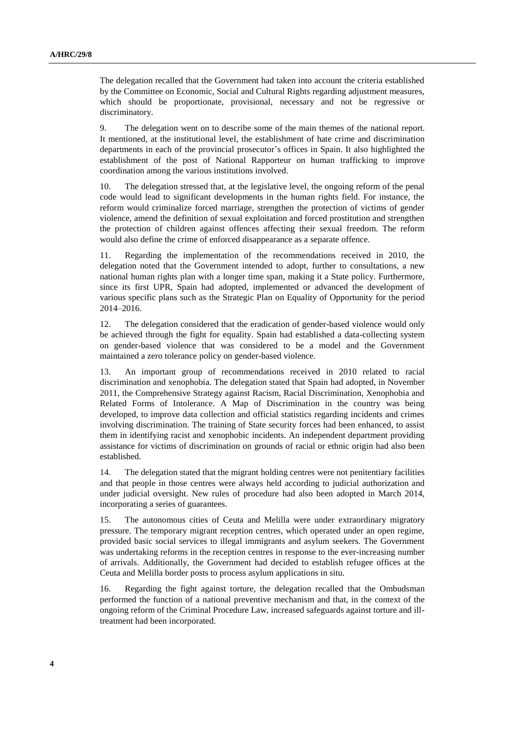The delegation recalled that the Government had taken into account the criteria established by the Committee on Economic, Social and Cultural Rights regarding adjustment measures, which should be proportionate, provisional, necessary and not be regressive or discriminatory.

9. The delegation went on to describe some of the main themes of the national report. It mentioned, at the institutional level, the establishment of hate crime and discrimination departments in each of the provincial prosecutor's offices in Spain. It also highlighted the establishment of the post of National Rapporteur on human trafficking to improve coordination among the various institutions involved.

10. The delegation stressed that, at the legislative level, the ongoing reform of the penal code would lead to significant developments in the human rights field. For instance, the reform would criminalize forced marriage, strengthen the protection of victims of gender violence, amend the definition of sexual exploitation and forced prostitution and strengthen the protection of children against offences affecting their sexual freedom. The reform would also define the crime of enforced disappearance as a separate offence.

11. Regarding the implementation of the recommendations received in 2010, the delegation noted that the Government intended to adopt, further to consultations, a new national human rights plan with a longer time span, making it a State policy. Furthermore, since its first UPR, Spain had adopted, implemented or advanced the development of various specific plans such as the Strategic Plan on Equality of Opportunity for the period 2014–2016.

12. The delegation considered that the eradication of gender-based violence would only be achieved through the fight for equality. Spain had established a data-collecting system on gender-based violence that was considered to be a model and the Government maintained a zero tolerance policy on gender-based violence.

13. An important group of recommendations received in 2010 related to racial discrimination and xenophobia. The delegation stated that Spain had adopted, in November 2011, the Comprehensive Strategy against Racism, Racial Discrimination, Xenophobia and Related Forms of Intolerance. A Map of Discrimination in the country was being developed, to improve data collection and official statistics regarding incidents and crimes involving discrimination. The training of State security forces had been enhanced, to assist them in identifying racist and xenophobic incidents. An independent department providing assistance for victims of discrimination on grounds of racial or ethnic origin had also been established.

14. The delegation stated that the migrant holding centres were not penitentiary facilities and that people in those centres were always held according to judicial authorization and under judicial oversight. New rules of procedure had also been adopted in March 2014, incorporating a series of guarantees.

15. The autonomous cities of Ceuta and Melilla were under extraordinary migratory pressure. The temporary migrant reception centres, which operated under an open regime, provided basic social services to illegal immigrants and asylum seekers. The Government was undertaking reforms in the reception centres in response to the ever-increasing number of arrivals. Additionally, the Government had decided to establish refugee offices at the Ceuta and Melilla border posts to process asylum applications in situ.

16. Regarding the fight against torture, the delegation recalled that the Ombudsman performed the function of a national preventive mechanism and that, in the context of the ongoing reform of the Criminal Procedure Law, increased safeguards against torture and illtreatment had been incorporated.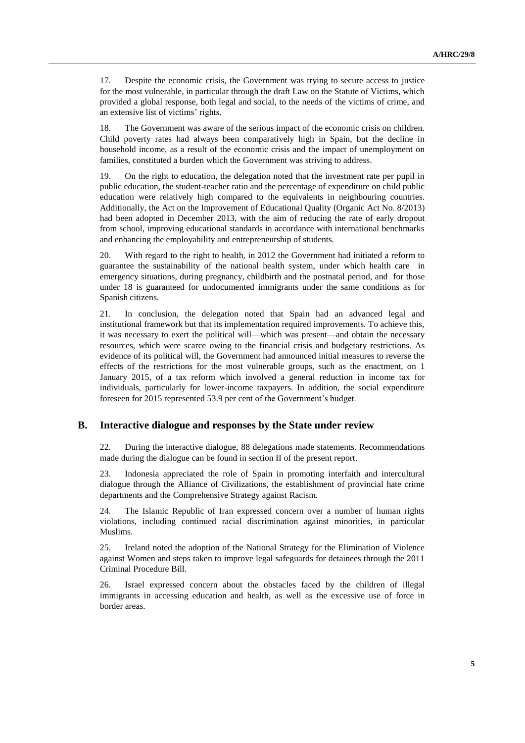17. Despite the economic crisis, the Government was trying to secure access to justice for the most vulnerable, in particular through the draft Law on the Statute of Victims, which provided a global response, both legal and social, to the needs of the victims of crime, and an extensive list of victims' rights.

18. The Government was aware of the serious impact of the economic crisis on children. Child poverty rates had always been comparatively high in Spain, but the decline in household income, as a result of the economic crisis and the impact of unemployment on families, constituted a burden which the Government was striving to address.

19. On the right to education, the delegation noted that the investment rate per pupil in public education, the student-teacher ratio and the percentage of expenditure on child public education were relatively high compared to the equivalents in neighbouring countries. Additionally, the Act on the Improvement of Educational Quality (Organic Act No. 8/2013) had been adopted in December 2013, with the aim of reducing the rate of early dropout from school, improving educational standards in accordance with international benchmarks and enhancing the employability and entrepreneurship of students.

20. With regard to the right to health, in 2012 the Government had initiated a reform to guarantee the sustainability of the national health system, under which health care in emergency situations, during pregnancy, childbirth and the postnatal period, and for those under 18 is guaranteed for undocumented immigrants under the same conditions as for Spanish citizens.

21. In conclusion, the delegation noted that Spain had an advanced legal and institutional framework but that its implementation required improvements. To achieve this, it was necessary to exert the political will—which was present—and obtain the necessary resources, which were scarce owing to the financial crisis and budgetary restrictions. As evidence of its political will, the Government had announced initial measures to reverse the effects of the restrictions for the most vulnerable groups, such as the enactment, on 1 January 2015, of a tax reform which involved a general reduction in income tax for individuals, particularly for lower-income taxpayers. In addition, the social expenditure foreseen for 2015 represented 53.9 per cent of the Government's budget.

#### **B. Interactive dialogue and responses by the State under review**

22. During the interactive dialogue, 88 delegations made statements. Recommendations made during the dialogue can be found in section II of the present report.

23. Indonesia appreciated the role of Spain in promoting interfaith and intercultural dialogue through the Alliance of Civilizations, the establishment of provincial hate crime departments and the Comprehensive Strategy against Racism.

24. The Islamic Republic of Iran expressed concern over a number of human rights violations, including continued racial discrimination against minorities, in particular Muslims.

25. Ireland noted the adoption of the National Strategy for the Elimination of Violence against Women and steps taken to improve legal safeguards for detainees through the 2011 Criminal Procedure Bill.

26. Israel expressed concern about the obstacles faced by the children of illegal immigrants in accessing education and health, as well as the excessive use of force in border areas.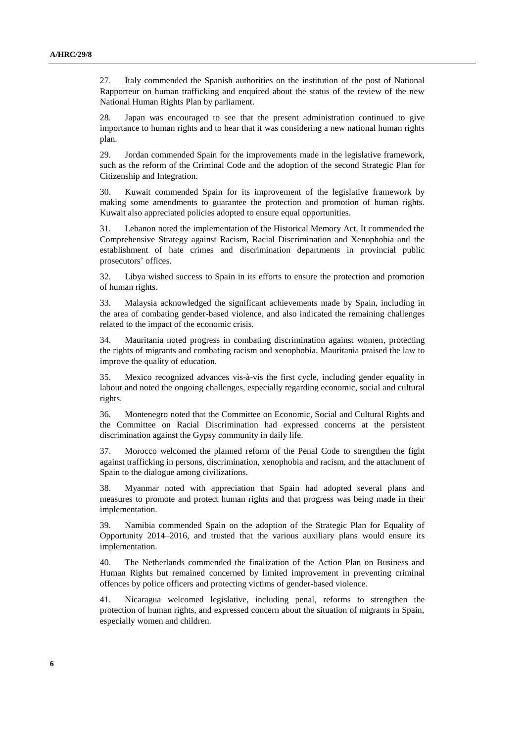27. Italy commended the Spanish authorities on the institution of the post of National Rapporteur on human trafficking and enquired about the status of the review of the new National Human Rights Plan by parliament.

28. Japan was encouraged to see that the present administration continued to give importance to human rights and to hear that it was considering a new national human rights plan.

29. Jordan commended Spain for the improvements made in the legislative framework, such as the reform of the Criminal Code and the adoption of the second Strategic Plan for Citizenship and Integration.

30. Kuwait commended Spain for its improvement of the legislative framework by making some amendments to guarantee the protection and promotion of human rights. Kuwait also appreciated policies adopted to ensure equal opportunities.

31. Lebanon noted the implementation of the Historical Memory Act. It commended the Comprehensive Strategy against Racism, Racial Discrimination and Xenophobia and the establishment of hate crimes and discrimination departments in provincial public prosecutors' offices.

32. Libya wished success to Spain in its efforts to ensure the protection and promotion of human rights.

33. Malaysia acknowledged the significant achievements made by Spain, including in the area of combating gender-based violence, and also indicated the remaining challenges related to the impact of the economic crisis.

34. Mauritania noted progress in combating discrimination against women, protecting the rights of migrants and combating racism and xenophobia. Mauritania praised the law to improve the quality of education.

35. Mexico recognized advances vis-à-vis the first cycle, including gender equality in labour and noted the ongoing challenges, especially regarding economic, social and cultural rights.

36. Montenegro noted that the Committee on Economic, Social and Cultural Rights and the Committee on Racial Discrimination had expressed concerns at the persistent discrimination against the Gypsy community in daily life.

37. Morocco welcomed the planned reform of the Penal Code to strengthen the fight against trafficking in persons, discrimination, xenophobia and racism, and the attachment of Spain to the dialogue among civilizations.

38. Myanmar noted with appreciation that Spain had adopted several plans and measures to promote and protect human rights and that progress was being made in their implementation.

39. Namibia commended Spain on the adoption of the Strategic Plan for Equality of Opportunity 2014–2016, and trusted that the various auxiliary plans would ensure its implementation.

40. The Netherlands commended the finalization of the Action Plan on Business and Human Rights but remained concerned by limited improvement in preventing criminal offences by police officers and protecting victims of gender-based violence.

41. Nicaragua welcomed legislative, including penal, reforms to strengthen the protection of human rights, and expressed concern about the situation of migrants in Spain, especially women and children.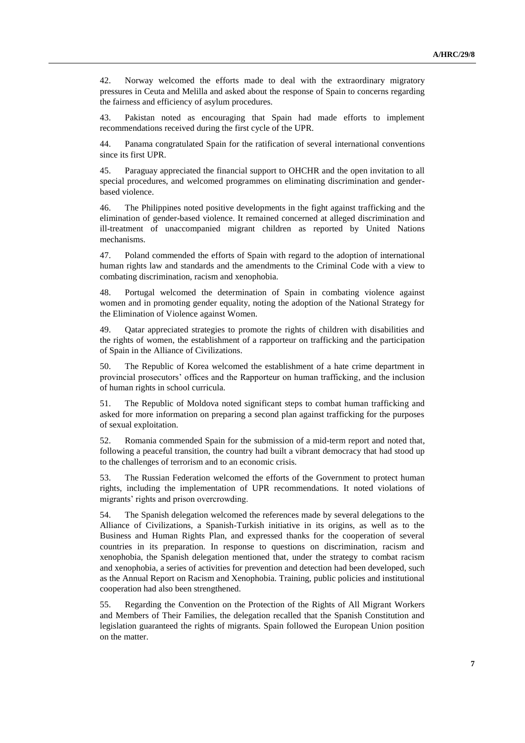42. Norway welcomed the efforts made to deal with the extraordinary migratory pressures in Ceuta and Melilla and asked about the response of Spain to concerns regarding the fairness and efficiency of asylum procedures.

43. Pakistan noted as encouraging that Spain had made efforts to implement recommendations received during the first cycle of the UPR.

44. Panama congratulated Spain for the ratification of several international conventions since its first UPR.

45. Paraguay appreciated the financial support to OHCHR and the open invitation to all special procedures, and welcomed programmes on eliminating discrimination and genderbased violence.

46. The Philippines noted positive developments in the fight against trafficking and the elimination of gender-based violence. It remained concerned at alleged discrimination and ill-treatment of unaccompanied migrant children as reported by United Nations mechanisms.

47. Poland commended the efforts of Spain with regard to the adoption of international human rights law and standards and the amendments to the Criminal Code with a view to combating discrimination, racism and xenophobia.

48. Portugal welcomed the determination of Spain in combating violence against women and in promoting gender equality, noting the adoption of the National Strategy for the Elimination of Violence against Women.

49. Qatar appreciated strategies to promote the rights of children with disabilities and the rights of women, the establishment of a rapporteur on trafficking and the participation of Spain in the Alliance of Civilizations.

50. The Republic of Korea welcomed the establishment of a hate crime department in provincial prosecutors' offices and the Rapporteur on human trafficking, and the inclusion of human rights in school curricula.

51. The Republic of Moldova noted significant steps to combat human trafficking and asked for more information on preparing a second plan against trafficking for the purposes of sexual exploitation.

52. Romania commended Spain for the submission of a mid-term report and noted that, following a peaceful transition, the country had built a vibrant democracy that had stood up to the challenges of terrorism and to an economic crisis.

53. The Russian Federation welcomed the efforts of the Government to protect human rights, including the implementation of UPR recommendations. It noted violations of migrants' rights and prison overcrowding.

54. The Spanish delegation welcomed the references made by several delegations to the Alliance of Civilizations, a Spanish-Turkish initiative in its origins, as well as to the Business and Human Rights Plan, and expressed thanks for the cooperation of several countries in its preparation. In response to questions on discrimination, racism and xenophobia, the Spanish delegation mentioned that, under the strategy to combat racism and xenophobia, a series of activities for prevention and detection had been developed, such as the Annual Report on Racism and Xenophobia. Training, public policies and institutional cooperation had also been strengthened.

55. Regarding the Convention on the Protection of the Rights of All Migrant Workers and Members of Their Families, the delegation recalled that the Spanish Constitution and legislation guaranteed the rights of migrants. Spain followed the European Union position on the matter.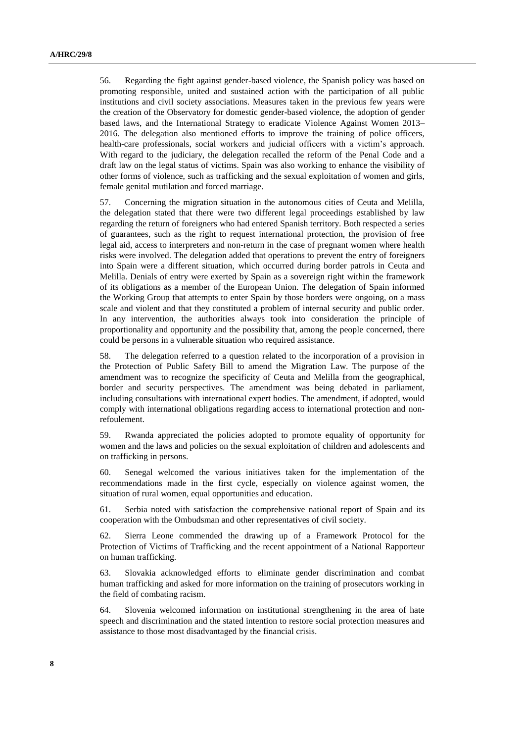56. Regarding the fight against gender-based violence, the Spanish policy was based on promoting responsible, united and sustained action with the participation of all public institutions and civil society associations. Measures taken in the previous few years were the creation of the Observatory for domestic gender-based violence, the adoption of gender based laws, and the International Strategy to eradicate Violence Against Women 2013– 2016. The delegation also mentioned efforts to improve the training of police officers, health-care professionals, social workers and judicial officers with a victim's approach. With regard to the judiciary, the delegation recalled the reform of the Penal Code and a draft law on the legal status of victims. Spain was also working to enhance the visibility of other forms of violence, such as trafficking and the sexual exploitation of women and girls, female genital mutilation and forced marriage.

57. Concerning the migration situation in the autonomous cities of Ceuta and Melilla, the delegation stated that there were two different legal proceedings established by law regarding the return of foreigners who had entered Spanish territory. Both respected a series of guarantees, such as the right to request international protection, the provision of free legal aid, access to interpreters and non-return in the case of pregnant women where health risks were involved. The delegation added that operations to prevent the entry of foreigners into Spain were a different situation, which occurred during border patrols in Ceuta and Melilla. Denials of entry were exerted by Spain as a sovereign right within the framework of its obligations as a member of the European Union. The delegation of Spain informed the Working Group that attempts to enter Spain by those borders were ongoing, on a mass scale and violent and that they constituted a problem of internal security and public order. In any intervention, the authorities always took into consideration the principle of proportionality and opportunity and the possibility that, among the people concerned, there could be persons in a vulnerable situation who required assistance.

58. The delegation referred to a question related to the incorporation of a provision in the Protection of Public Safety Bill to amend the Migration Law. The purpose of the amendment was to recognize the specificity of Ceuta and Melilla from the geographical, border and security perspectives. The amendment was being debated in parliament, including consultations with international expert bodies. The amendment, if adopted, would comply with international obligations regarding access to international protection and nonrefoulement.

59. Rwanda appreciated the policies adopted to promote equality of opportunity for women and the laws and policies on the sexual exploitation of children and adolescents and on trafficking in persons.

60. Senegal welcomed the various initiatives taken for the implementation of the recommendations made in the first cycle, especially on violence against women, the situation of rural women, equal opportunities and education.

61. Serbia noted with satisfaction the comprehensive national report of Spain and its cooperation with the Ombudsman and other representatives of civil society.

62. Sierra Leone commended the drawing up of a Framework Protocol for the Protection of Victims of Trafficking and the recent appointment of a National Rapporteur on human trafficking.

63. Slovakia acknowledged efforts to eliminate gender discrimination and combat human trafficking and asked for more information on the training of prosecutors working in the field of combating racism.

64. Slovenia welcomed information on institutional strengthening in the area of hate speech and discrimination and the stated intention to restore social protection measures and assistance to those most disadvantaged by the financial crisis.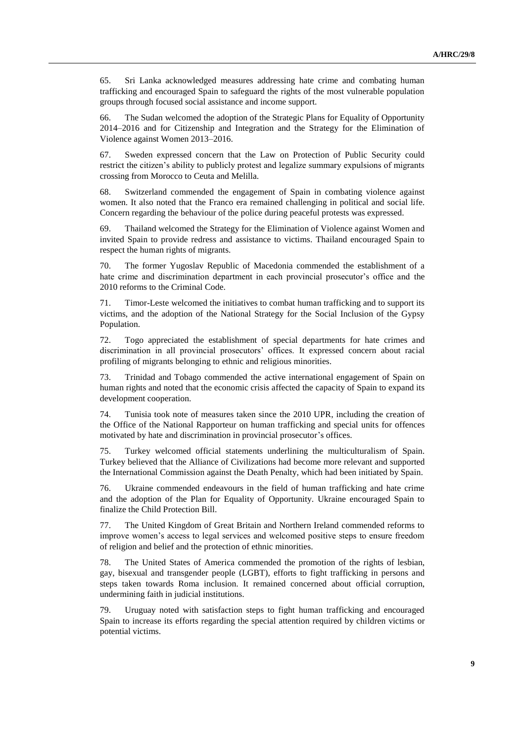65. Sri Lanka acknowledged measures addressing hate crime and combating human trafficking and encouraged Spain to safeguard the rights of the most vulnerable population groups through focused social assistance and income support.

66. The Sudan welcomed the adoption of the Strategic Plans for Equality of Opportunity 2014–2016 and for Citizenship and Integration and the Strategy for the Elimination of Violence against Women 2013–2016.

67. Sweden expressed concern that the Law on Protection of Public Security could restrict the citizen's ability to publicly protest and legalize summary expulsions of migrants crossing from Morocco to Ceuta and Melilla.

68. Switzerland commended the engagement of Spain in combating violence against women. It also noted that the Franco era remained challenging in political and social life. Concern regarding the behaviour of the police during peaceful protests was expressed.

69. Thailand welcomed the Strategy for the Elimination of Violence against Women and invited Spain to provide redress and assistance to victims. Thailand encouraged Spain to respect the human rights of migrants.

70. The former Yugoslav Republic of Macedonia commended the establishment of a hate crime and discrimination department in each provincial prosecutor's office and the 2010 reforms to the Criminal Code.

71. Timor-Leste welcomed the initiatives to combat human trafficking and to support its victims, and the adoption of the National Strategy for the Social Inclusion of the Gypsy Population.

72. Togo appreciated the establishment of special departments for hate crimes and discrimination in all provincial prosecutors' offices. It expressed concern about racial profiling of migrants belonging to ethnic and religious minorities.

73. Trinidad and Tobago commended the active international engagement of Spain on human rights and noted that the economic crisis affected the capacity of Spain to expand its development cooperation.

74. Tunisia took note of measures taken since the 2010 UPR, including the creation of the Office of the National Rapporteur on human trafficking and special units for offences motivated by hate and discrimination in provincial prosecutor's offices.

75. Turkey welcomed official statements underlining the multiculturalism of Spain. Turkey believed that the Alliance of Civilizations had become more relevant and supported the International Commission against the Death Penalty, which had been initiated by Spain.

76. Ukraine commended endeavours in the field of human trafficking and hate crime and the adoption of the Plan for Equality of Opportunity. Ukraine encouraged Spain to finalize the Child Protection Bill.

77. The United Kingdom of Great Britain and Northern Ireland commended reforms to improve women's access to legal services and welcomed positive steps to ensure freedom of religion and belief and the protection of ethnic minorities.

78. The United States of America commended the promotion of the rights of lesbian, gay, bisexual and transgender people (LGBT), efforts to fight trafficking in persons and steps taken towards Roma inclusion. It remained concerned about official corruption, undermining faith in judicial institutions.

79. Uruguay noted with satisfaction steps to fight human trafficking and encouraged Spain to increase its efforts regarding the special attention required by children victims or potential victims.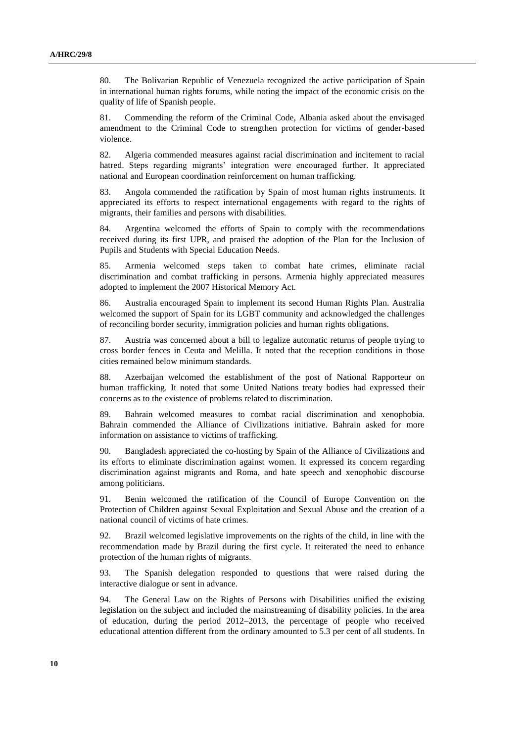80. The Bolivarian Republic of Venezuela recognized the active participation of Spain in international human rights forums, while noting the impact of the economic crisis on the quality of life of Spanish people.

81. Commending the reform of the Criminal Code, Albania asked about the envisaged amendment to the Criminal Code to strengthen protection for victims of gender-based violence.

82. Algeria commended measures against racial discrimination and incitement to racial hatred. Steps regarding migrants' integration were encouraged further. It appreciated national and European coordination reinforcement on human trafficking.

83. Angola commended the ratification by Spain of most human rights instruments. It appreciated its efforts to respect international engagements with regard to the rights of migrants, their families and persons with disabilities.

84. Argentina welcomed the efforts of Spain to comply with the recommendations received during its first UPR, and praised the adoption of the Plan for the Inclusion of Pupils and Students with Special Education Needs.

85. Armenia welcomed steps taken to combat hate crimes, eliminate racial discrimination and combat trafficking in persons. Armenia highly appreciated measures adopted to implement the 2007 Historical Memory Act.

86. Australia encouraged Spain to implement its second Human Rights Plan. Australia welcomed the support of Spain for its LGBT community and acknowledged the challenges of reconciling border security, immigration policies and human rights obligations.

87. Austria was concerned about a bill to legalize automatic returns of people trying to cross border fences in Ceuta and Melilla. It noted that the reception conditions in those cities remained below minimum standards.

88. Azerbaijan welcomed the establishment of the post of National Rapporteur on human trafficking. It noted that some United Nations treaty bodies had expressed their concerns as to the existence of problems related to discrimination.

89. Bahrain welcomed measures to combat racial discrimination and xenophobia. Bahrain commended the Alliance of Civilizations initiative. Bahrain asked for more information on assistance to victims of trafficking.

90. Bangladesh appreciated the co-hosting by Spain of the Alliance of Civilizations and its efforts to eliminate discrimination against women. It expressed its concern regarding discrimination against migrants and Roma, and hate speech and xenophobic discourse among politicians.

91. Benin welcomed the ratification of the Council of Europe Convention on the Protection of Children against Sexual Exploitation and Sexual Abuse and the creation of a national council of victims of hate crimes.

92. Brazil welcomed legislative improvements on the rights of the child, in line with the recommendation made by Brazil during the first cycle. It reiterated the need to enhance protection of the human rights of migrants.

93. The Spanish delegation responded to questions that were raised during the interactive dialogue or sent in advance.

94. The General Law on the Rights of Persons with Disabilities unified the existing legislation on the subject and included the mainstreaming of disability policies. In the area of education, during the period 2012–2013, the percentage of people who received educational attention different from the ordinary amounted to 5.3 per cent of all students. In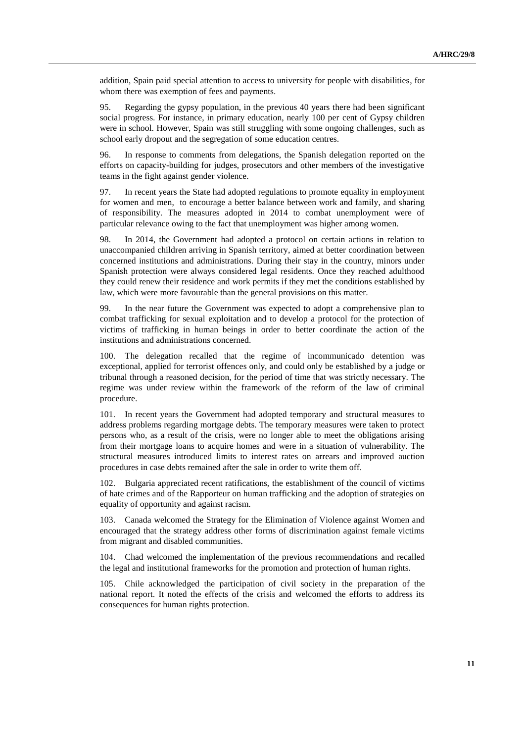addition, Spain paid special attention to access to university for people with disabilities, for whom there was exemption of fees and payments.

95. Regarding the gypsy population, in the previous 40 years there had been significant social progress. For instance, in primary education, nearly 100 per cent of Gypsy children were in school. However, Spain was still struggling with some ongoing challenges, such as school early dropout and the segregation of some education centres.

96. In response to comments from delegations, the Spanish delegation reported on the efforts on capacity-building for judges, prosecutors and other members of the investigative teams in the fight against gender violence.

97. In recent years the State had adopted regulations to promote equality in employment for women and men, to encourage a better balance between work and family, and sharing of responsibility. The measures adopted in 2014 to combat unemployment were of particular relevance owing to the fact that unemployment was higher among women.

98. In 2014, the Government had adopted a protocol on certain actions in relation to unaccompanied children arriving in Spanish territory, aimed at better coordination between concerned institutions and administrations. During their stay in the country, minors under Spanish protection were always considered legal residents. Once they reached adulthood they could renew their residence and work permits if they met the conditions established by law, which were more favourable than the general provisions on this matter.

99. In the near future the Government was expected to adopt a comprehensive plan to combat trafficking for sexual exploitation and to develop a protocol for the protection of victims of trafficking in human beings in order to better coordinate the action of the institutions and administrations concerned.

100. The delegation recalled that the regime of incommunicado detention was exceptional, applied for terrorist offences only, and could only be established by a judge or tribunal through a reasoned decision, for the period of time that was strictly necessary. The regime was under review within the framework of the reform of the law of criminal procedure.

101. In recent years the Government had adopted temporary and structural measures to address problems regarding mortgage debts. The temporary measures were taken to protect persons who, as a result of the crisis, were no longer able to meet the obligations arising from their mortgage loans to acquire homes and were in a situation of vulnerability. The structural measures introduced limits to interest rates on arrears and improved auction procedures in case debts remained after the sale in order to write them off.

102. Bulgaria appreciated recent ratifications, the establishment of the council of victims of hate crimes and of the Rapporteur on human trafficking and the adoption of strategies on equality of opportunity and against racism.

103. Canada welcomed the Strategy for the Elimination of Violence against Women and encouraged that the strategy address other forms of discrimination against female victims from migrant and disabled communities.

104. Chad welcomed the implementation of the previous recommendations and recalled the legal and institutional frameworks for the promotion and protection of human rights.

105. Chile acknowledged the participation of civil society in the preparation of the national report. It noted the effects of the crisis and welcomed the efforts to address its consequences for human rights protection.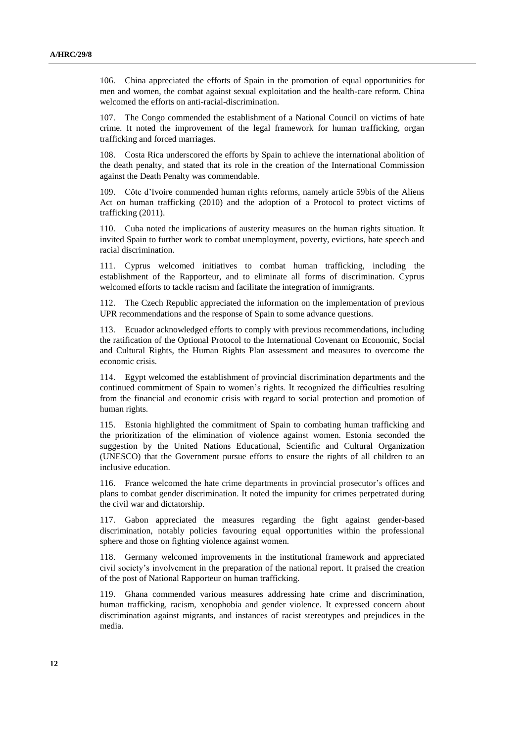106. China appreciated the efforts of Spain in the promotion of equal opportunities for men and women, the combat against sexual exploitation and the health-care reform. China welcomed the efforts on anti-racial-discrimination.

107. The Congo commended the establishment of a National Council on victims of hate crime. It noted the improvement of the legal framework for human trafficking, organ trafficking and forced marriages.

108. Costa Rica underscored the efforts by Spain to achieve the international abolition of the death penalty, and stated that its role in the creation of the International Commission against the Death Penalty was commendable.

109. Côte d'Ivoire commended human rights reforms, namely article 59bis of the Aliens Act on human trafficking (2010) and the adoption of a Protocol to protect victims of trafficking (2011).

110. Cuba noted the implications of austerity measures on the human rights situation. It invited Spain to further work to combat unemployment, poverty, evictions, hate speech and racial discrimination.

111. Cyprus welcomed initiatives to combat human trafficking, including the establishment of the Rapporteur, and to eliminate all forms of discrimination. Cyprus welcomed efforts to tackle racism and facilitate the integration of immigrants.

112. The Czech Republic appreciated the information on the implementation of previous UPR recommendations and the response of Spain to some advance questions.

113. Ecuador acknowledged efforts to comply with previous recommendations, including the ratification of the Optional Protocol to the International Covenant on Economic, Social and Cultural Rights, the Human Rights Plan assessment and measures to overcome the economic crisis.

114. Egypt welcomed the establishment of provincial discrimination departments and the continued commitment of Spain to women's rights. It recognized the difficulties resulting from the financial and economic crisis with regard to social protection and promotion of human rights.

115. Estonia highlighted the commitment of Spain to combating human trafficking and the prioritization of the elimination of violence against women. Estonia seconded the suggestion by the United Nations Educational, Scientific and Cultural Organization (UNESCO) that the Government pursue efforts to ensure the rights of all children to an inclusive education.

116. France welcomed the hate crime departments in provincial prosecutor's offices and plans to combat gender discrimination. It noted the impunity for crimes perpetrated during the civil war and dictatorship.

117. Gabon appreciated the measures regarding the fight against gender-based discrimination, notably policies favouring equal opportunities within the professional sphere and those on fighting violence against women.

118. Germany welcomed improvements in the institutional framework and appreciated civil society's involvement in the preparation of the national report. It praised the creation of the post of National Rapporteur on human trafficking.

119. Ghana commended various measures addressing hate crime and discrimination, human trafficking, racism, xenophobia and gender violence. It expressed concern about discrimination against migrants, and instances of racist stereotypes and prejudices in the media.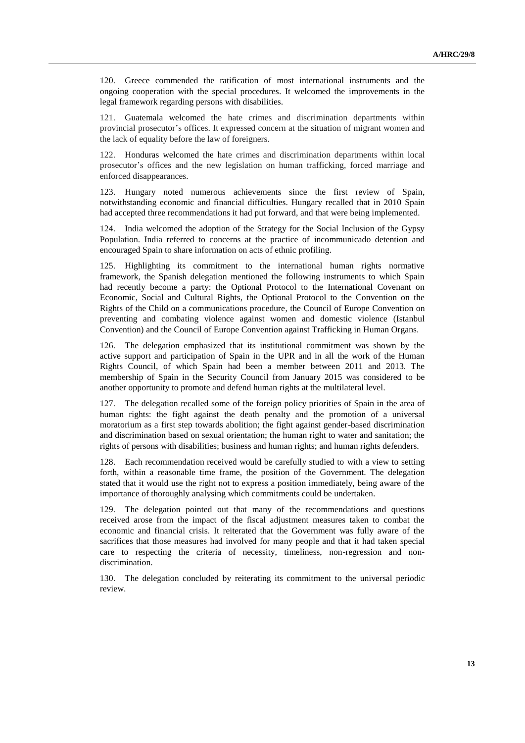120. Greece commended the ratification of most international instruments and the ongoing cooperation with the special procedures. It welcomed the improvements in the legal framework regarding persons with disabilities.

121. Guatemala welcomed the hate crimes and discrimination departments within provincial prosecutor's offices. It expressed concern at the situation of migrant women and the lack of equality before the law of foreigners.

122. Honduras welcomed the hate crimes and discrimination departments within local prosecutor's offices and the new legislation on human trafficking, forced marriage and enforced disappearances.

123. Hungary noted numerous achievements since the first review of Spain, notwithstanding economic and financial difficulties. Hungary recalled that in 2010 Spain had accepted three recommendations it had put forward, and that were being implemented.

124. India welcomed the adoption of the Strategy for the Social Inclusion of the Gypsy Population. India referred to concerns at the practice of incommunicado detention and encouraged Spain to share information on acts of ethnic profiling.

125. Highlighting its commitment to the international human rights normative framework, the Spanish delegation mentioned the following instruments to which Spain had recently become a party: the Optional Protocol to the International Covenant on Economic, Social and Cultural Rights, the Optional Protocol to the Convention on the Rights of the Child on a communications procedure, the Council of Europe Convention on preventing and combating violence against women and domestic violence (Istanbul Convention) and the Council of Europe Convention against Trafficking in Human Organs.

126. The delegation emphasized that its institutional commitment was shown by the active support and participation of Spain in the UPR and in all the work of the Human Rights Council, of which Spain had been a member between 2011 and 2013. The membership of Spain in the Security Council from January 2015 was considered to be another opportunity to promote and defend human rights at the multilateral level.

127. The delegation recalled some of the foreign policy priorities of Spain in the area of human rights: the fight against the death penalty and the promotion of a universal moratorium as a first step towards abolition; the fight against gender-based discrimination and discrimination based on sexual orientation; the human right to water and sanitation; the rights of persons with disabilities; business and human rights; and human rights defenders.

128. Each recommendation received would be carefully studied to with a view to setting forth, within a reasonable time frame, the position of the Government. The delegation stated that it would use the right not to express a position immediately, being aware of the importance of thoroughly analysing which commitments could be undertaken.

129. The delegation pointed out that many of the recommendations and questions received arose from the impact of the fiscal adjustment measures taken to combat the economic and financial crisis. It reiterated that the Government was fully aware of the sacrifices that those measures had involved for many people and that it had taken special care to respecting the criteria of necessity, timeliness, non-regression and nondiscrimination.

130. The delegation concluded by reiterating its commitment to the universal periodic review.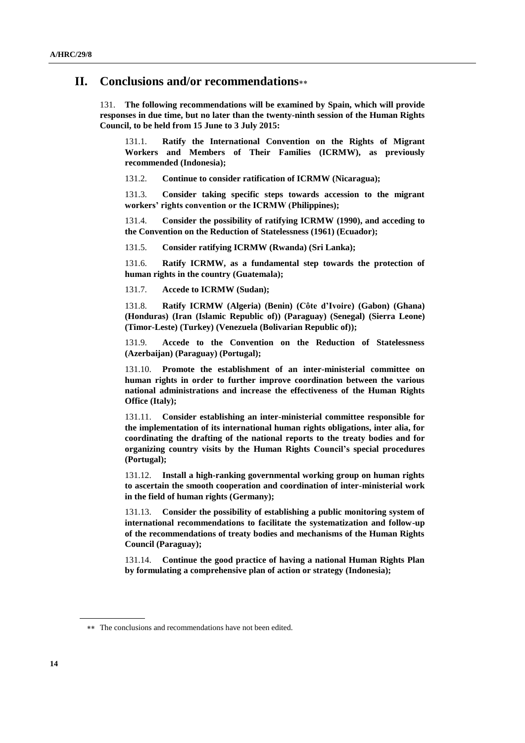### **II. Conclusions and/or recommendations**

131. **The following recommendations will be examined by Spain, which will provide responses in due time, but no later than the twenty-ninth session of the Human Rights Council, to be held from 15 June to 3 July 2015:**

131.1. **Ratify the International Convention on the Rights of Migrant Workers and Members of Their Families (ICRMW), as previously recommended (Indonesia);**

131.2. **Continue to consider ratification of ICRMW (Nicaragua);**

131.3. **Consider taking specific steps towards accession to the migrant workers' rights convention or the ICRMW (Philippines);**

131.4. **Consider the possibility of ratifying ICRMW (1990), and acceding to the Convention on the Reduction of Statelessness (1961) (Ecuador);**

131.5. **Consider ratifying ICRMW (Rwanda) (Sri Lanka);** 

131.6. **Ratify ICRMW, as a fundamental step towards the protection of human rights in the country (Guatemala);**

131.7. **Accede to ICRMW (Sudan);**

131.8. **Ratify ICRMW (Algeria) (Benin) (Côte d'Ivoire) (Gabon) (Ghana) (Honduras) (Iran (Islamic Republic of)) (Paraguay) (Senegal) (Sierra Leone) (Timor-Leste) (Turkey) (Venezuela (Bolivarian Republic of));**

131.9. **Accede to the Convention on the Reduction of Statelessness (Azerbaijan) (Paraguay) (Portugal);**

131.10. **Promote the establishment of an inter-ministerial committee on human rights in order to further improve coordination between the various national administrations and increase the effectiveness of the Human Rights Office (Italy);**

131.11. **Consider establishing an inter-ministerial committee responsible for the implementation of its international human rights obligations, inter alia, for coordinating the drafting of the national reports to the treaty bodies and for organizing country visits by the Human Rights Council's special procedures (Portugal);**

131.12. **Install a high-ranking governmental working group on human rights to ascertain the smooth cooperation and coordination of inter-ministerial work in the field of human rights (Germany);**

131.13. **Consider the possibility of establishing a public monitoring system of international recommendations to facilitate the systematization and follow-up of the recommendations of treaty bodies and mechanisms of the Human Rights Council (Paraguay);**

131.14. **Continue the good practice of having a national Human Rights Plan by formulating a comprehensive plan of action or strategy (Indonesia);** 

The conclusions and recommendations have not been edited.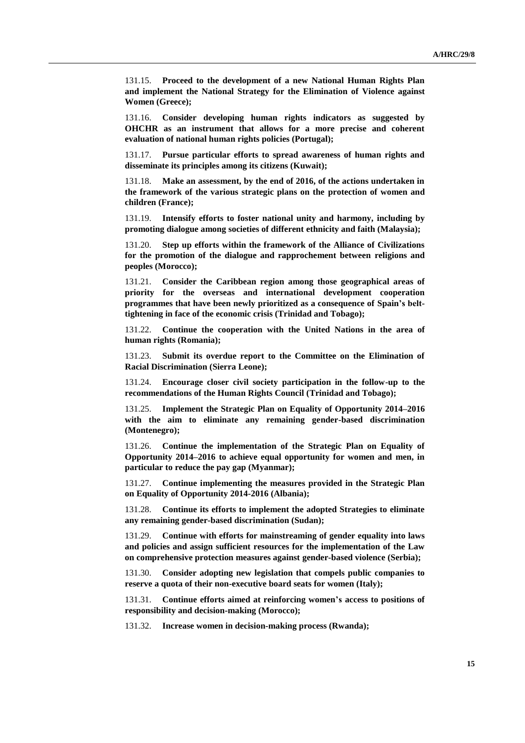131.15. **Proceed to the development of a new National Human Rights Plan and implement the National Strategy for the Elimination of Violence against Women (Greece);**

131.16. **Consider developing human rights indicators as suggested by OHCHR as an instrument that allows for a more precise and coherent evaluation of national human rights policies (Portugal);**

131.17. **Pursue particular efforts to spread awareness of human rights and disseminate its principles among its citizens (Kuwait);**

131.18. **Make an assessment, by the end of 2016, of the actions undertaken in the framework of the various strategic plans on the protection of women and children (France);**

131.19. **Intensify efforts to foster national unity and harmony, including by promoting dialogue among societies of different ethnicity and faith (Malaysia);**

131.20. **Step up efforts within the framework of the Alliance of Civilizations for the promotion of the dialogue and rapprochement between religions and peoples (Morocco);**

131.21. **Consider the Caribbean region among those geographical areas of priority for the overseas and international development cooperation programmes that have been newly prioritized as a consequence of Spain's belttightening in face of the economic crisis (Trinidad and Tobago);**

131.22. **Continue the cooperation with the United Nations in the area of human rights (Romania);**

131.23. **Submit its overdue report to the Committee on the Elimination of Racial Discrimination (Sierra Leone);**

131.24. **Encourage closer civil society participation in the follow-up to the recommendations of the Human Rights Council (Trinidad and Tobago);**

131.25. **Implement the Strategic Plan on Equality of Opportunity 2014–2016 with the aim to eliminate any remaining gender-based discrimination (Montenegro);**

131.26. **Continue the implementation of the Strategic Plan on Equality of Opportunity 2014–2016 to achieve equal opportunity for women and men, in particular to reduce the pay gap (Myanmar);**

131.27. **Continue implementing the measures provided in the Strategic Plan on Equality of Opportunity 2014-2016 (Albania);** 

131.28. **Continue its efforts to implement the adopted Strategies to eliminate any remaining gender-based discrimination (Sudan);**

131.29. **Continue with efforts for mainstreaming of gender equality into laws and policies and assign sufficient resources for the implementation of the Law on comprehensive protection measures against gender-based violence (Serbia);** 

131.30. **Consider adopting new legislation that compels public companies to reserve a quota of their non-executive board seats for women (Italy);**

131.31. **Continue efforts aimed at reinforcing women's access to positions of responsibility and decision-making (Morocco);** 

131.32. **Increase women in decision-making process (Rwanda);**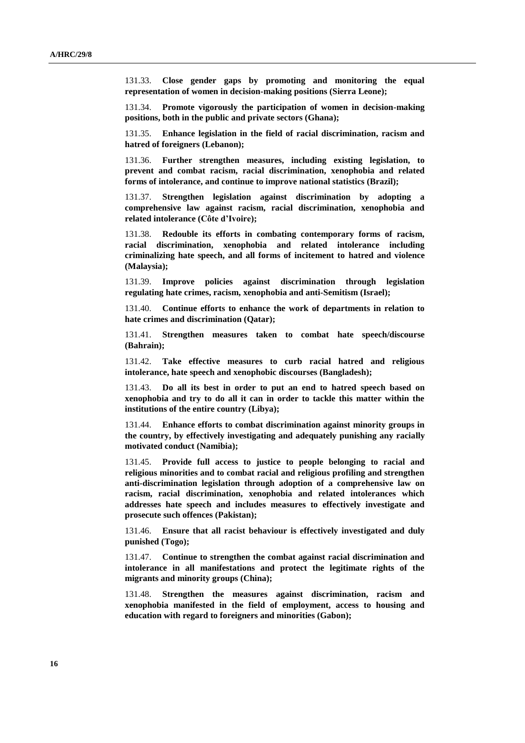131.33. **Close gender gaps by promoting and monitoring the equal representation of women in decision-making positions (Sierra Leone);**

131.34. **Promote vigorously the participation of women in decision-making positions, both in the public and private sectors (Ghana);**

131.35. **Enhance legislation in the field of racial discrimination, racism and hatred of foreigners (Lebanon);**

131.36. **Further strengthen measures, including existing legislation, to prevent and combat racism, racial discrimination, xenophobia and related forms of intolerance, and continue to improve national statistics (Brazil);**

131.37. **Strengthen legislation against discrimination by adopting a comprehensive law against racism, racial discrimination, xenophobia and related intolerance (Côte d'Ivoire);**

131.38. **Redouble its efforts in combating contemporary forms of racism, racial discrimination, xenophobia and related intolerance including criminalizing hate speech, and all forms of incitement to hatred and violence (Malaysia);**

131.39. **Improve policies against discrimination through legislation regulating hate crimes, racism, xenophobia and anti-Semitism (Israel);**

131.40. **Continue efforts to enhance the work of departments in relation to hate crimes and discrimination (Qatar);**

131.41. **Strengthen measures taken to combat hate speech/discourse (Bahrain);** 

131.42. **Take effective measures to curb racial hatred and religious intolerance, hate speech and xenophobic discourses (Bangladesh);** 

131.43. **Do all its best in order to put an end to hatred speech based on xenophobia and try to do all it can in order to tackle this matter within the institutions of the entire country (Libya);**

131.44. **Enhance efforts to combat discrimination against minority groups in the country, by effectively investigating and adequately punishing any racially motivated conduct (Namibia);**

131.45. **Provide full access to justice to people belonging to racial and religious minorities and to combat racial and religious profiling and strengthen anti-discrimination legislation through adoption of a comprehensive law on racism, racial discrimination, xenophobia and related intolerances which addresses hate speech and includes measures to effectively investigate and prosecute such offences (Pakistan);**

131.46. **Ensure that all racist behaviour is effectively investigated and duly punished (Togo);**

131.47. **Continue to strengthen the combat against racial discrimination and intolerance in all manifestations and protect the legitimate rights of the migrants and minority groups (China);**

131.48. **Strengthen the measures against discrimination, racism and xenophobia manifested in the field of employment, access to housing and education with regard to foreigners and minorities (Gabon);**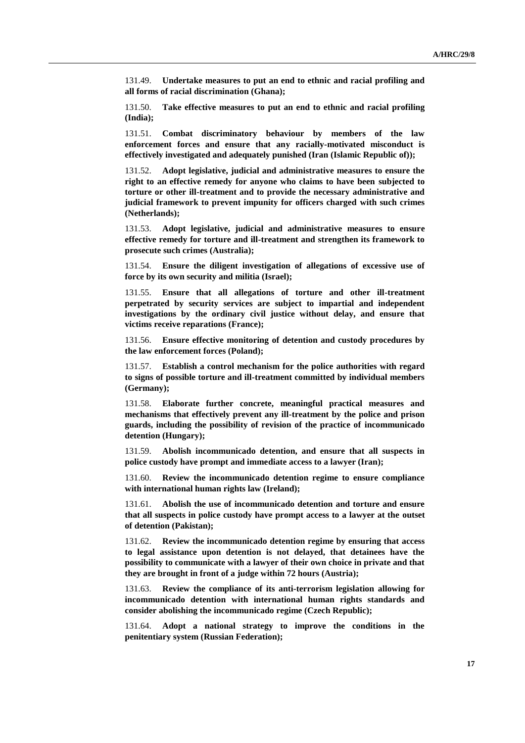131.49. **Undertake measures to put an end to ethnic and racial profiling and all forms of racial discrimination (Ghana);**

131.50. **Take effective measures to put an end to ethnic and racial profiling (India);**

131.51. **Combat discriminatory behaviour by members of the law enforcement forces and ensure that any racially-motivated misconduct is effectively investigated and adequately punished (Iran (Islamic Republic of));**

131.52. **Adopt legislative, judicial and administrative measures to ensure the right to an effective remedy for anyone who claims to have been subjected to torture or other ill-treatment and to provide the necessary administrative and judicial framework to prevent impunity for officers charged with such crimes (Netherlands);**

131.53. **Adopt legislative, judicial and administrative measures to ensure effective remedy for torture and ill-treatment and strengthen its framework to prosecute such crimes (Australia);**

131.54. **Ensure the diligent investigation of allegations of excessive use of force by its own security and militia (Israel);**

131.55. **Ensure that all allegations of torture and other ill-treatment perpetrated by security services are subject to impartial and independent investigations by the ordinary civil justice without delay, and ensure that victims receive reparations (France);**

131.56. **Ensure effective monitoring of detention and custody procedures by the law enforcement forces (Poland);**

131.57. **Establish a control mechanism for the police authorities with regard to signs of possible torture and ill-treatment committed by individual members (Germany);**

131.58. **Elaborate further concrete, meaningful practical measures and mechanisms that effectively prevent any ill-treatment by the police and prison guards, including the possibility of revision of the practice of incommunicado detention (Hungary);** 

131.59. **Abolish incommunicado detention, and ensure that all suspects in police custody have prompt and immediate access to a lawyer (Iran);** 

131.60. **Review the incommunicado detention regime to ensure compliance with international human rights law (Ireland);**

131.61. **Abolish the use of incommunicado detention and torture and ensure that all suspects in police custody have prompt access to a lawyer at the outset of detention (Pakistan);**

131.62. **Review the incommunicado detention regime by ensuring that access to legal assistance upon detention is not delayed, that detainees have the possibility to communicate with a lawyer of their own choice in private and that they are brought in front of a judge within 72 hours (Austria);**

131.63. **Review the compliance of its anti-terrorism legislation allowing for incommunicado detention with international human rights standards and consider abolishing the incommunicado regime (Czech Republic);** 

131.64. **Adopt a national strategy to improve the conditions in the penitentiary system (Russian Federation);**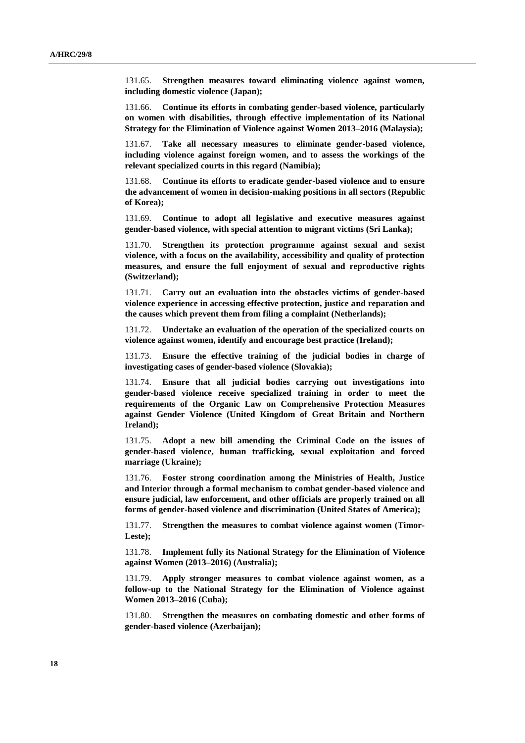131.65. **Strengthen measures toward eliminating violence against women, including domestic violence (Japan);**

131.66. **Continue its efforts in combating gender-based violence, particularly on women with disabilities, through effective implementation of its National Strategy for the Elimination of Violence against Women 2013–2016 (Malaysia);**

131.67. **Take all necessary measures to eliminate gender-based violence, including violence against foreign women, and to assess the workings of the relevant specialized courts in this regard (Namibia);**

131.68. **Continue its efforts to eradicate gender-based violence and to ensure the advancement of women in decision-making positions in all sectors (Republic of Korea);** 

131.69. **Continue to adopt all legislative and executive measures against gender-based violence, with special attention to migrant victims (Sri Lanka);** 

131.70. **Strengthen its protection programme against sexual and sexist violence, with a focus on the availability, accessibility and quality of protection measures, and ensure the full enjoyment of sexual and reproductive rights (Switzerland);**

131.71. **Carry out an evaluation into the obstacles victims of gender-based violence experience in accessing effective protection, justice and reparation and the causes which prevent them from filing a complaint (Netherlands);**

131.72. **Undertake an evaluation of the operation of the specialized courts on violence against women, identify and encourage best practice (Ireland);**

131.73. **Ensure the effective training of the judicial bodies in charge of investigating cases of gender-based violence (Slovakia);**

131.74. **Ensure that all judicial bodies carrying out investigations into gender-based violence receive specialized training in order to meet the requirements of the Organic Law on Comprehensive Protection Measures against Gender Violence (United Kingdom of Great Britain and Northern Ireland);**

131.75. **Adopt a new bill amending the Criminal Code on the issues of gender-based violence, human trafficking, sexual exploitation and forced marriage (Ukraine);**

131.76. **Foster strong coordination among the Ministries of Health, Justice and Interior through a formal mechanism to combat gender-based violence and ensure judicial, law enforcement, and other officials are properly trained on all forms of gender-based violence and discrimination (United States of America);**

131.77. **Strengthen the measures to combat violence against women (Timor-Leste);**

131.78. **Implement fully its National Strategy for the Elimination of Violence against Women (2013–2016) (Australia);**

131.79. **Apply stronger measures to combat violence against women, as a follow-up to the National Strategy for the Elimination of Violence against Women 2013–2016 (Cuba);**

131.80. **Strengthen the measures on combating domestic and other forms of gender-based violence (Azerbaijan);**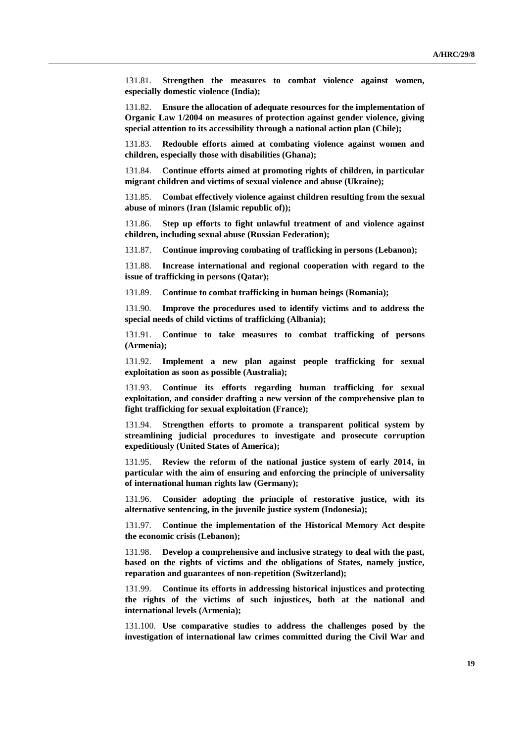131.81. **Strengthen the measures to combat violence against women, especially domestic violence (India);**

131.82. **Ensure the allocation of adequate resources for the implementation of Organic Law 1/2004 on measures of protection against gender violence, giving special attention to its accessibility through a national action plan (Chile);**

131.83. **Redouble efforts aimed at combating violence against women and children, especially those with disabilities (Ghana);**

131.84. **Continue efforts aimed at promoting rights of children, in particular migrant children and victims of sexual violence and abuse (Ukraine);** 

131.85. **Combat effectively violence against children resulting from the sexual abuse of minors (Iran (Islamic republic of));**

131.86. **Step up efforts to fight unlawful treatment of and violence against children, including sexual abuse (Russian Federation);**

131.87. **Continue improving combating of trafficking in persons (Lebanon);**

131.88. **Increase international and regional cooperation with regard to the issue of trafficking in persons (Qatar);**

131.89. **Continue to combat trafficking in human beings (Romania);**

131.90. **Improve the procedures used to identify victims and to address the special needs of child victims of trafficking (Albania);**

131.91. **Continue to take measures to combat trafficking of persons (Armenia);**

131.92. **Implement a new plan against people trafficking for sexual exploitation as soon as possible (Australia);**

131.93. **Continue its efforts regarding human trafficking for sexual exploitation, and consider drafting a new version of the comprehensive plan to fight trafficking for sexual exploitation (France);**

131.94. **Strengthen efforts to promote a transparent political system by streamlining judicial procedures to investigate and prosecute corruption expeditiously (United States of America);**

131.95. **Review the reform of the national justice system of early 2014, in particular with the aim of ensuring and enforcing the principle of universality of international human rights law (Germany);**

131.96. **Consider adopting the principle of restorative justice, with its alternative sentencing, in the juvenile justice system (Indonesia);**

131.97. **Continue the implementation of the Historical Memory Act despite the economic crisis (Lebanon);**

131.98. **Develop a comprehensive and inclusive strategy to deal with the past, based on the rights of victims and the obligations of States, namely justice, reparation and guarantees of non-repetition (Switzerland);**

131.99. **Continue its efforts in addressing historical injustices and protecting the rights of the victims of such injustices, both at the national and international levels (Armenia);**

131.100. **Use comparative studies to address the challenges posed by the investigation of international law crimes committed during the Civil War and**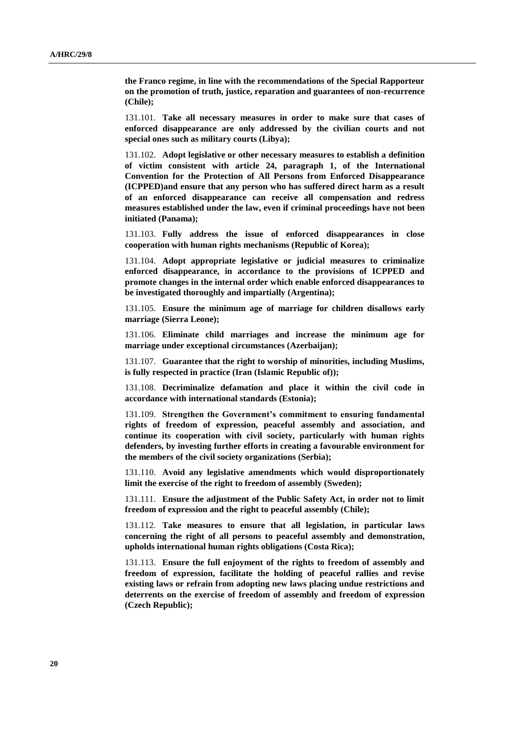**the Franco regime, in line with the recommendations of the Special Rapporteur on the promotion of truth, justice, reparation and guarantees of non-recurrence (Chile);**

131.101. **Take all necessary measures in order to make sure that cases of enforced disappearance are only addressed by the civilian courts and not special ones such as military courts (Libya);**

131.102. **Adopt legislative or other necessary measures to establish a definition of victim consistent with article 24, paragraph 1, of the International Convention for the Protection of All Persons from Enforced Disappearance (ICPPED)and ensure that any person who has suffered direct harm as a result of an enforced disappearance can receive all compensation and redress measures established under the law, even if criminal proceedings have not been initiated (Panama);**

131.103. **Fully address the issue of enforced disappearances in close cooperation with human rights mechanisms (Republic of Korea);** 

131.104. **Adopt appropriate legislative or judicial measures to criminalize enforced disappearance, in accordance to the provisions of ICPPED and promote changes in the internal order which enable enforced disappearances to be investigated thoroughly and impartially (Argentina);**

131.105. **Ensure the minimum age of marriage for children disallows early marriage (Sierra Leone);**

131.106. **Eliminate child marriages and increase the minimum age for marriage under exceptional circumstances (Azerbaijan);**

131.107. **Guarantee that the right to worship of minorities, including Muslims, is fully respected in practice (Iran (Islamic Republic of));**

131.108. **Decriminalize defamation and place it within the civil code in accordance with international standards (Estonia);**

131.109. **Strengthen the Government's commitment to ensuring fundamental rights of freedom of expression, peaceful assembly and association, and continue its cooperation with civil society, particularly with human rights defenders, by investing further efforts in creating a favourable environment for the members of the civil society organizations (Serbia);**

131.110. **Avoid any legislative amendments which would disproportionately limit the exercise of the right to freedom of assembly (Sweden);**

131.111. **Ensure the adjustment of the Public Safety Act, in order not to limit freedom of expression and the right to peaceful assembly (Chile);**

131.112. **Take measures to ensure that all legislation, in particular laws concerning the right of all persons to peaceful assembly and demonstration, upholds international human rights obligations (Costa Rica);**

131.113. **Ensure the full enjoyment of the rights to freedom of assembly and freedom of expression, facilitate the holding of peaceful rallies and revise existing laws or refrain from adopting new laws placing undue restrictions and deterrents on the exercise of freedom of assembly and freedom of expression (Czech Republic);**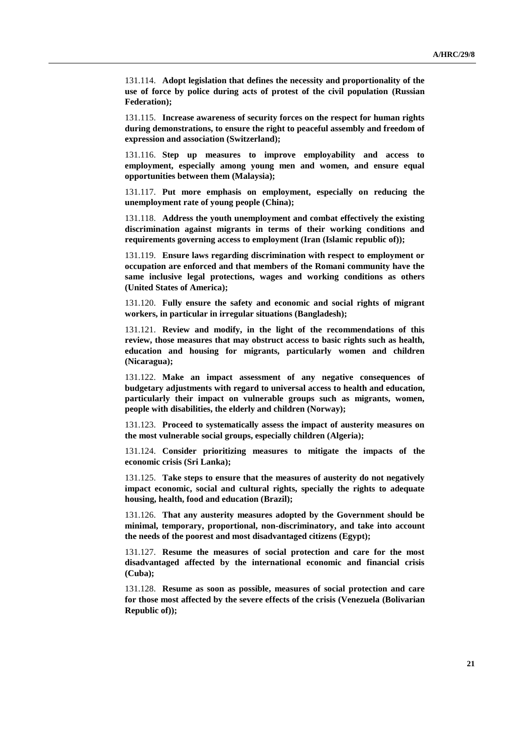131.114. **Adopt legislation that defines the necessity and proportionality of the use of force by police during acts of protest of the civil population (Russian Federation);**

131.115. **Increase awareness of security forces on the respect for human rights during demonstrations, to ensure the right to peaceful assembly and freedom of expression and association (Switzerland);**

131.116. **Step up measures to improve employability and access to employment, especially among young men and women, and ensure equal opportunities between them (Malaysia);**

131.117. **Put more emphasis on employment, especially on reducing the unemployment rate of young people (China);**

131.118. **Address the youth unemployment and combat effectively the existing discrimination against migrants in terms of their working conditions and requirements governing access to employment (Iran (Islamic republic of));**

131.119. **Ensure laws regarding discrimination with respect to employment or occupation are enforced and that members of the Romani community have the same inclusive legal protections, wages and working conditions as others (United States of America);**

131.120. **Fully ensure the safety and economic and social rights of migrant workers, in particular in irregular situations (Bangladesh);** 

131.121. **Review and modify, in the light of the recommendations of this review, those measures that may obstruct access to basic rights such as health, education and housing for migrants, particularly women and children (Nicaragua);**

131.122. **Make an impact assessment of any negative consequences of budgetary adjustments with regard to universal access to health and education, particularly their impact on vulnerable groups such as migrants, women, people with disabilities, the elderly and children (Norway);** 

131.123. **Proceed to systematically assess the impact of austerity measures on the most vulnerable social groups, especially children (Algeria);**

131.124. **Consider prioritizing measures to mitigate the impacts of the economic crisis (Sri Lanka);** 

131.125. **Take steps to ensure that the measures of austerity do not negatively impact economic, social and cultural rights, specially the rights to adequate housing, health, food and education (Brazil);**

131.126. **That any austerity measures adopted by the Government should be minimal, temporary, proportional, non-discriminatory, and take into account the needs of the poorest and most disadvantaged citizens (Egypt);**

131.127. **Resume the measures of social protection and care for the most disadvantaged affected by the international economic and financial crisis (Cuba);**

131.128. **Resume as soon as possible, measures of social protection and care for those most affected by the severe effects of the crisis (Venezuela (Bolivarian Republic of));**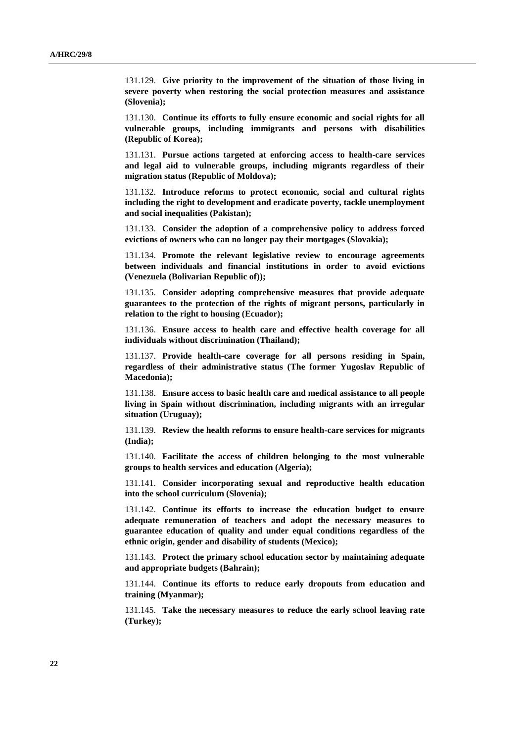131.129. **Give priority to the improvement of the situation of those living in severe poverty when restoring the social protection measures and assistance (Slovenia);**

131.130. **Continue its efforts to fully ensure economic and social rights for all vulnerable groups, including immigrants and persons with disabilities (Republic of Korea);** 

131.131. **Pursue actions targeted at enforcing access to health-care services and legal aid to vulnerable groups, including migrants regardless of their migration status (Republic of Moldova);** 

131.132. **Introduce reforms to protect economic, social and cultural rights including the right to development and eradicate poverty, tackle unemployment and social inequalities (Pakistan);**

131.133. **Consider the adoption of a comprehensive policy to address forced evictions of owners who can no longer pay their mortgages (Slovakia);** 

131.134. **Promote the relevant legislative review to encourage agreements between individuals and financial institutions in order to avoid evictions (Venezuela (Bolivarian Republic of));**

131.135. **Consider adopting comprehensive measures that provide adequate guarantees to the protection of the rights of migrant persons, particularly in relation to the right to housing (Ecuador);**

131.136. **Ensure access to health care and effective health coverage for all individuals without discrimination (Thailand);** 

131.137. **Provide health-care coverage for all persons residing in Spain, regardless of their administrative status (The former Yugoslav Republic of Macedonia);**

131.138. **Ensure access to basic health care and medical assistance to all people living in Spain without discrimination, including migrants with an irregular situation (Uruguay);**

131.139. **Review the health reforms to ensure health-care services for migrants (India);**

131.140. **Facilitate the access of children belonging to the most vulnerable groups to health services and education (Algeria);**

131.141. **Consider incorporating sexual and reproductive health education into the school curriculum (Slovenia);**

131.142. **Continue its efforts to increase the education budget to ensure adequate remuneration of teachers and adopt the necessary measures to guarantee education of quality and under equal conditions regardless of the ethnic origin, gender and disability of students (Mexico);**

131.143. **Protect the primary school education sector by maintaining adequate and appropriate budgets (Bahrain);** 

131.144. **Continue its efforts to reduce early dropouts from education and training (Myanmar);**

131.145. **Take the necessary measures to reduce the early school leaving rate (Turkey);**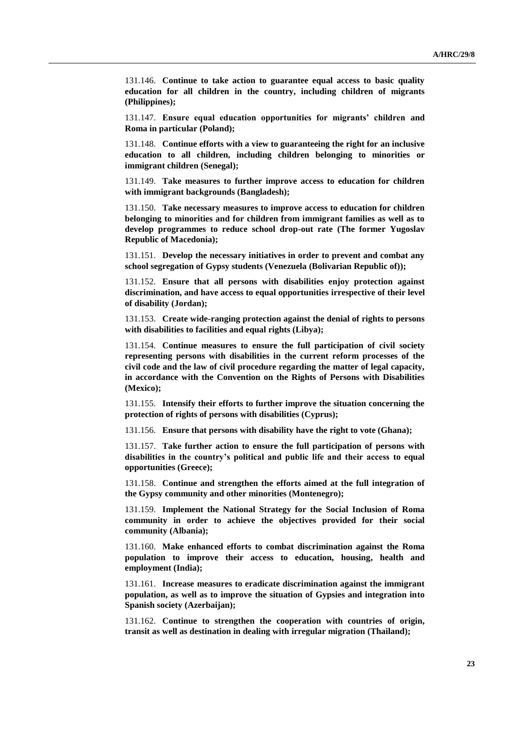131.146. **Continue to take action to guarantee equal access to basic quality education for all children in the country, including children of migrants (Philippines);** 

131.147. **Ensure equal education opportunities for migrants' children and Roma in particular (Poland);**

131.148. **Continue efforts with a view to guaranteeing the right for an inclusive education to all children, including children belonging to minorities or immigrant children (Senegal);**

131.149. **Take measures to further improve access to education for children with immigrant backgrounds (Bangladesh);** 

131.150. **Take necessary measures to improve access to education for children belonging to minorities and for children from immigrant families as well as to develop programmes to reduce school drop-out rate (The former Yugoslav Republic of Macedonia);**

131.151. **Develop the necessary initiatives in order to prevent and combat any school segregation of Gypsy students (Venezuela (Bolivarian Republic of));**

131.152. **Ensure that all persons with disabilities enjoy protection against discrimination, and have access to equal opportunities irrespective of their level of disability (Jordan);** 

131.153. **Create wide-ranging protection against the denial of rights to persons with disabilities to facilities and equal rights (Libya);**

131.154. **Continue measures to ensure the full participation of civil society representing persons with disabilities in the current reform processes of the civil code and the law of civil procedure regarding the matter of legal capacity, in accordance with the Convention on the Rights of Persons with Disabilities (Mexico);**

131.155. **Intensify their efforts to further improve the situation concerning the protection of rights of persons with disabilities (Cyprus);** 

131.156. **Ensure that persons with disability have the right to vote (Ghana);**

131.157. **Take further action to ensure the full participation of persons with disabilities in the country's political and public life and their access to equal opportunities (Greece);**

131.158. **Continue and strengthen the efforts aimed at the full integration of the Gypsy community and other minorities (Montenegro);**

131.159. **Implement the National Strategy for the Social Inclusion of Roma community in order to achieve the objectives provided for their social community (Albania);**

131.160. **Make enhanced efforts to combat discrimination against the Roma population to improve their access to education, housing, health and employment (India);**

131.161. **Increase measures to eradicate discrimination against the immigrant population, as well as to improve the situation of Gypsies and integration into Spanish society (Azerbaijan);**

131.162. **Continue to strengthen the cooperation with countries of origin, transit as well as destination in dealing with irregular migration (Thailand);**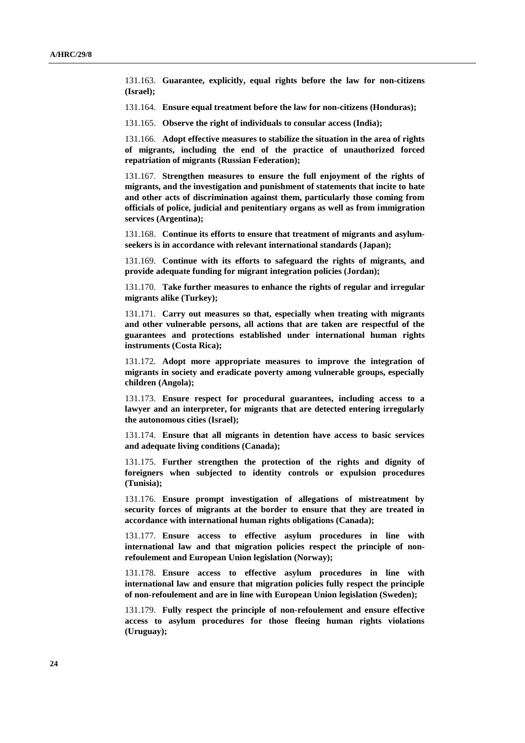131.163. **Guarantee, explicitly, equal rights before the law for non-citizens (Israel);**

131.164. **Ensure equal treatment before the law for non-citizens (Honduras);**

131.165. **Observe the right of individuals to consular access (India);**

131.166. **Adopt effective measures to stabilize the situation in the area of rights of migrants, including the end of the practice of unauthorized forced repatriation of migrants (Russian Federation);**

131.167. **Strengthen measures to ensure the full enjoyment of the rights of migrants, and the investigation and punishment of statements that incite to hate and other acts of discrimination against them, particularly those coming from officials of police, judicial and penitentiary organs as well as from immigration services (Argentina);**

131.168. **Continue its efforts to ensure that treatment of migrants and asylumseekers is in accordance with relevant international standards (Japan);**

131.169. **Continue with its efforts to safeguard the rights of migrants, and provide adequate funding for migrant integration policies (Jordan);**

131.170. **Take further measures to enhance the rights of regular and irregular migrants alike (Turkey);**

131.171. **Carry out measures so that, especially when treating with migrants and other vulnerable persons, all actions that are taken are respectful of the guarantees and protections established under international human rights instruments (Costa Rica);**

131.172. **Adopt more appropriate measures to improve the integration of migrants in society and eradicate poverty among vulnerable groups, especially children (Angola);**

131.173. **Ensure respect for procedural guarantees, including access to a lawyer and an interpreter, for migrants that are detected entering irregularly the autonomous cities (Israel);**

131.174. **Ensure that all migrants in detention have access to basic services and adequate living conditions (Canada);**

131.175. **Further strengthen the protection of the rights and dignity of foreigners when subjected to identity controls or expulsion procedures (Tunisia);**

131.176. **Ensure prompt investigation of allegations of mistreatment by security forces of migrants at the border to ensure that they are treated in accordance with international human rights obligations (Canada);**

131.177. **Ensure access to effective asylum procedures in line with international law and that migration policies respect the principle of nonrefoulement and European Union legislation (Norway);** 

131.178. **Ensure access to effective asylum procedures in line with international law and ensure that migration policies fully respect the principle of non-refoulement and are in line with European Union legislation (Sweden);**

131.179. **Fully respect the principle of non-refoulement and ensure effective access to asylum procedures for those fleeing human rights violations (Uruguay);**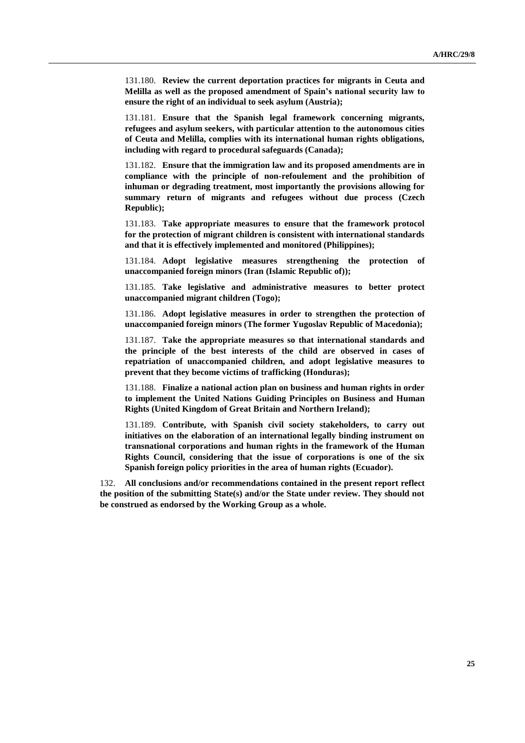131.180. **Review the current deportation practices for migrants in Ceuta and Melilla as well as the proposed amendment of Spain's national security law to ensure the right of an individual to seek asylum (Austria);**

131.181. **Ensure that the Spanish legal framework concerning migrants, refugees and asylum seekers, with particular attention to the autonomous cities of Ceuta and Melilla, complies with its international human rights obligations, including with regard to procedural safeguards (Canada);**

131.182. **Ensure that the immigration law and its proposed amendments are in compliance with the principle of non-refoulement and the prohibition of inhuman or degrading treatment, most importantly the provisions allowing for summary return of migrants and refugees without due process (Czech Republic);** 

131.183. **Take appropriate measures to ensure that the framework protocol for the protection of migrant children is consistent with international standards and that it is effectively implemented and monitored (Philippines);**

131.184. **Adopt legislative measures strengthening the protection of unaccompanied foreign minors (Iran (Islamic Republic of));**

131.185. **Take legislative and administrative measures to better protect unaccompanied migrant children (Togo);**

131.186. **Adopt legislative measures in order to strengthen the protection of unaccompanied foreign minors (The former Yugoslav Republic of Macedonia);**

131.187. **Take the appropriate measures so that international standards and the principle of the best interests of the child are observed in cases of repatriation of unaccompanied children, and adopt legislative measures to prevent that they become victims of trafficking (Honduras);**

131.188. **Finalize a national action plan on business and human rights in order to implement the United Nations Guiding Principles on Business and Human Rights (United Kingdom of Great Britain and Northern Ireland);**

131.189. **Contribute, with Spanish civil society stakeholders, to carry out initiatives on the elaboration of an international legally binding instrument on transnational corporations and human rights in the framework of the Human Rights Council, considering that the issue of corporations is one of the six Spanish foreign policy priorities in the area of human rights (Ecuador).**

132. **All conclusions and/or recommendations contained in the present report reflect the position of the submitting State(s) and/or the State under review. They should not be construed as endorsed by the Working Group as a whole.**